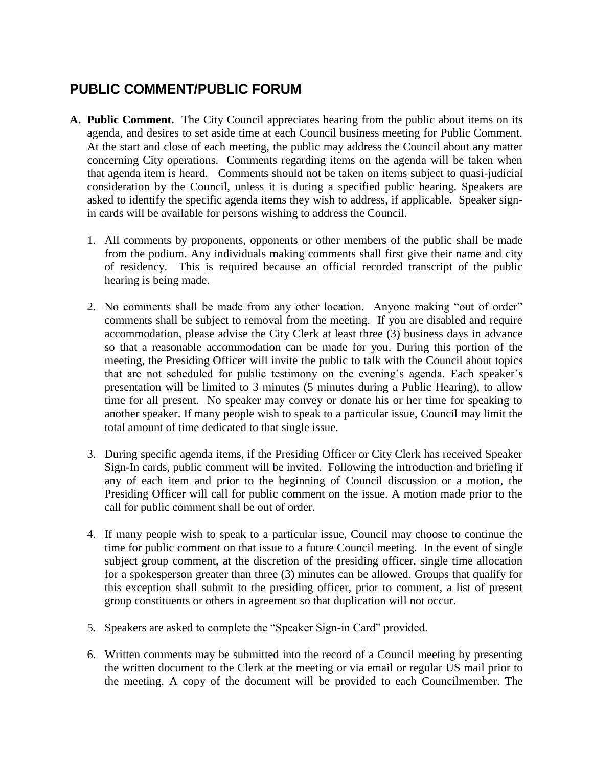## **PUBLIC COMMENT/PUBLIC FORUM**

- **A. Public Comment.** The City Council appreciates hearing from the public about items on its agenda, and desires to set aside time at each Council business meeting for Public Comment. At the start and close of each meeting, the public may address the Council about any matter concerning City operations. Comments regarding items on the agenda will be taken when that agenda item is heard. Comments should not be taken on items subject to quasi-judicial consideration by the Council, unless it is during a specified public hearing. Speakers are asked to identify the specific agenda items they wish to address, if applicable. Speaker signin cards will be available for persons wishing to address the Council.
	- 1. All comments by proponents, opponents or other members of the public shall be made from the podium. Any individuals making comments shall first give their name and city of residency. This is required because an official recorded transcript of the public hearing is being made.
	- 2. No comments shall be made from any other location. Anyone making "out of order" comments shall be subject to removal from the meeting. If you are disabled and require accommodation, please advise the City Clerk at least three (3) business days in advance so that a reasonable accommodation can be made for you. During this portion of the meeting, the Presiding Officer will invite the public to talk with the Council about topics that are not scheduled for public testimony on the evening's agenda. Each speaker's presentation will be limited to 3 minutes (5 minutes during a Public Hearing), to allow time for all present. No speaker may convey or donate his or her time for speaking to another speaker. If many people wish to speak to a particular issue, Council may limit the total amount of time dedicated to that single issue.
	- 3. During specific agenda items, if the Presiding Officer or City Clerk has received Speaker Sign-In cards, public comment will be invited. Following the introduction and briefing if any of each item and prior to the beginning of Council discussion or a motion, the Presiding Officer will call for public comment on the issue. A motion made prior to the call for public comment shall be out of order.
	- 4. If many people wish to speak to a particular issue, Council may choose to continue the time for public comment on that issue to a future Council meeting. In the event of single subject group comment, at the discretion of the presiding officer, single time allocation for a spokesperson greater than three (3) minutes can be allowed. Groups that qualify for this exception shall submit to the presiding officer, prior to comment, a list of present group constituents or others in agreement so that duplication will not occur.
	- 5. Speakers are asked to complete the "Speaker Sign-in Card" provided.
	- 6. Written comments may be submitted into the record of a Council meeting by presenting the written document to the Clerk at the meeting or via email or regular US mail prior to the meeting. A copy of the document will be provided to each Councilmember. The